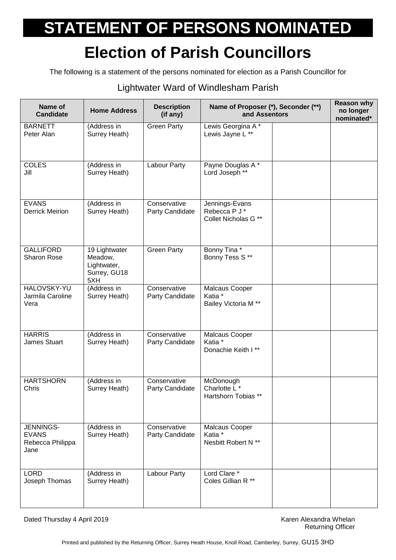## **STATEMENT OF PERSONS NOMINATED**

## **Election of Parish Councillors**

The following is a statement of the persons nominated for election as a Parish Councillor for

## Lightwater Ward of Windlesham Parish

| Name of<br><b>Candidate</b>                           | <b>Home Address</b>                                            | <b>Description</b><br>(if any)  | Name of Proposer (*), Seconder (**)<br>and Assentors        | <b>Reason why</b><br>no longer<br>nominated* |
|-------------------------------------------------------|----------------------------------------------------------------|---------------------------------|-------------------------------------------------------------|----------------------------------------------|
| <b>BARNETT</b><br>Peter Alan                          | (Address in<br>Surrey Heath)                                   | <b>Green Party</b>              | Lewis Georgina A*<br>Lewis Jayne L **                       |                                              |
| <b>COLES</b><br>Jill                                  | (Address in<br>Surrey Heath)                                   | Labour Party                    | Payne Douglas A*<br>Lord Joseph **                          |                                              |
| <b>EVANS</b><br><b>Derrick Meirion</b>                | (Address in<br>Surrey Heath)                                   | Conservative<br>Party Candidate | Jennings-Evans<br>Rebecca P J *<br>Collet Nicholas G **     |                                              |
| <b>GALLIFORD</b><br>Sharon Rose                       | 19 Lightwater<br>Meadow,<br>Lightwater,<br>Surrey, GU18<br>5XH | <b>Green Party</b>              | Bonny Tina*<br>Bonny Tess S**                               |                                              |
| <b>HALOVSKY-YU</b><br>Jarmila Caroline<br>Vera        | (Address in<br>Surrey Heath)                                   | Conservative<br>Party Candidate | Malcaus Cooper<br>Katia *<br>Bailey Victoria M **           |                                              |
| <b>HARRIS</b><br>James Stuart                         | (Address in<br>Surrey Heath)                                   | Conservative<br>Party Candidate | Malcaus Cooper<br>Katia *<br>Donachie Keith I**             |                                              |
| <b>HARTSHORN</b><br>Chris                             | (Address in<br>Surrey Heath)                                   | Conservative<br>Party Candidate | McDonough<br>Charlotte L*<br>Hartshorn Tobias **            |                                              |
| JENNINGS-<br><b>EVANS</b><br>Rebecca Philippa<br>Jane | (Address in<br>Surrey Heath)                                   | Conservative<br>Party Candidate | Malcaus Cooper<br>Katia <sup>*</sup><br>Nesbitt Robert N ** |                                              |
| <b>LORD</b><br>Joseph Thomas                          | (Address in<br>Surrey Heath)                                   | Labour Party                    | Lord Clare *<br>Coles Gillian R **                          |                                              |

Dated Thursday 4 April 2019 **Karen Alexandra Whelan** Bated Thursday 4 April 2019

Returning Officer